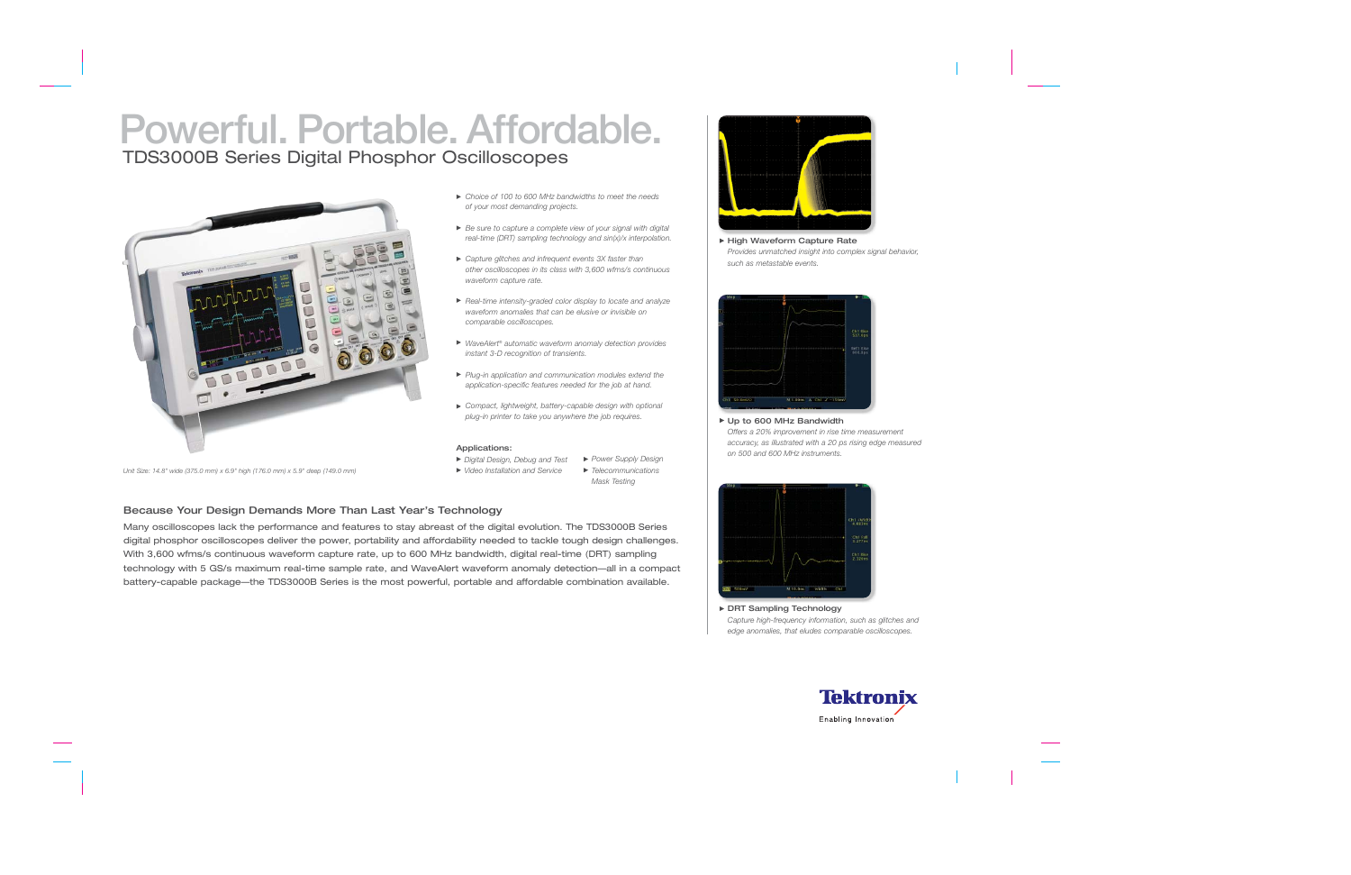# **Powerful. Portable. Affordable.** TDS3000B Series Digital Phosphor Oscilloscopes



*Unit Size: 14.8" wide (375.0 mm) x 6.9" high (176.0 mm) x 5.9" deep (149.0 mm)*

- *Choice of 100 to 600 MHz bandwidths to meet the needs of your most demanding projects.*
- *Be sure to capture a complete view of your signal with digital real-time (DRT) sampling technology and sin(x)/x interpolation.*
- *Capture glitches and infrequent events 3X faster than other oscilloscopes in its class with 3,600 wfms/s continuous waveform capture rate.*
- *Real-time intensity-graded color display to locate and analyze waveform anomalies that can be elusive or invisible on comparable oscilloscopes.*
- *WaveAlert*® *automatic waveform anomaly detection provides instant 3-D recognition of transients.*
- *Plug-in application and communication modules extend the application-specific features needed for the job at hand.*
- *Compact, lightweight, battery-capable design with optional plug-in printer to take you anywhere the job requires.*

#### Applications:

- *Digital Design, Debug and Test Power Supply Design*
- *Video Installation and Service Telecommunications Mask Testing*

## Because Your Design Demands More Than Last Year's Technology

Many oscilloscopes lack the performance and features to stay abreast of the digital evolution. The TDS3000B Series digital phosphor oscilloscopes deliver the power, portability and affordability needed to tackle tough design challenges. With 3,600 wfms/s continuous waveform capture rate, up to 600 MHz bandwidth, digital real-time (DRT) sampling technology with 5 GS/s maximum real-time sample rate, and WaveAlert waveform anomaly detection—all in a compact battery-capable package—the TDS3000B Series is the most powerful, portable and affordable combination available.



▶ High Waveform Capture Rate *Provides unmatched insight into complex signal behavior, such as metastable events.*



▶ Up to 600 MHz Bandwidth *Offers a 20% improvement in rise time measurement accuracy, as illustrated with a 20 ps rising edge measured on 500 and 600 MHz instruments.*



▶ DRT Sampling Technology *Capture high-frequency information, such as glitches and edge anomalies, that eludes comparable oscilloscopes.*

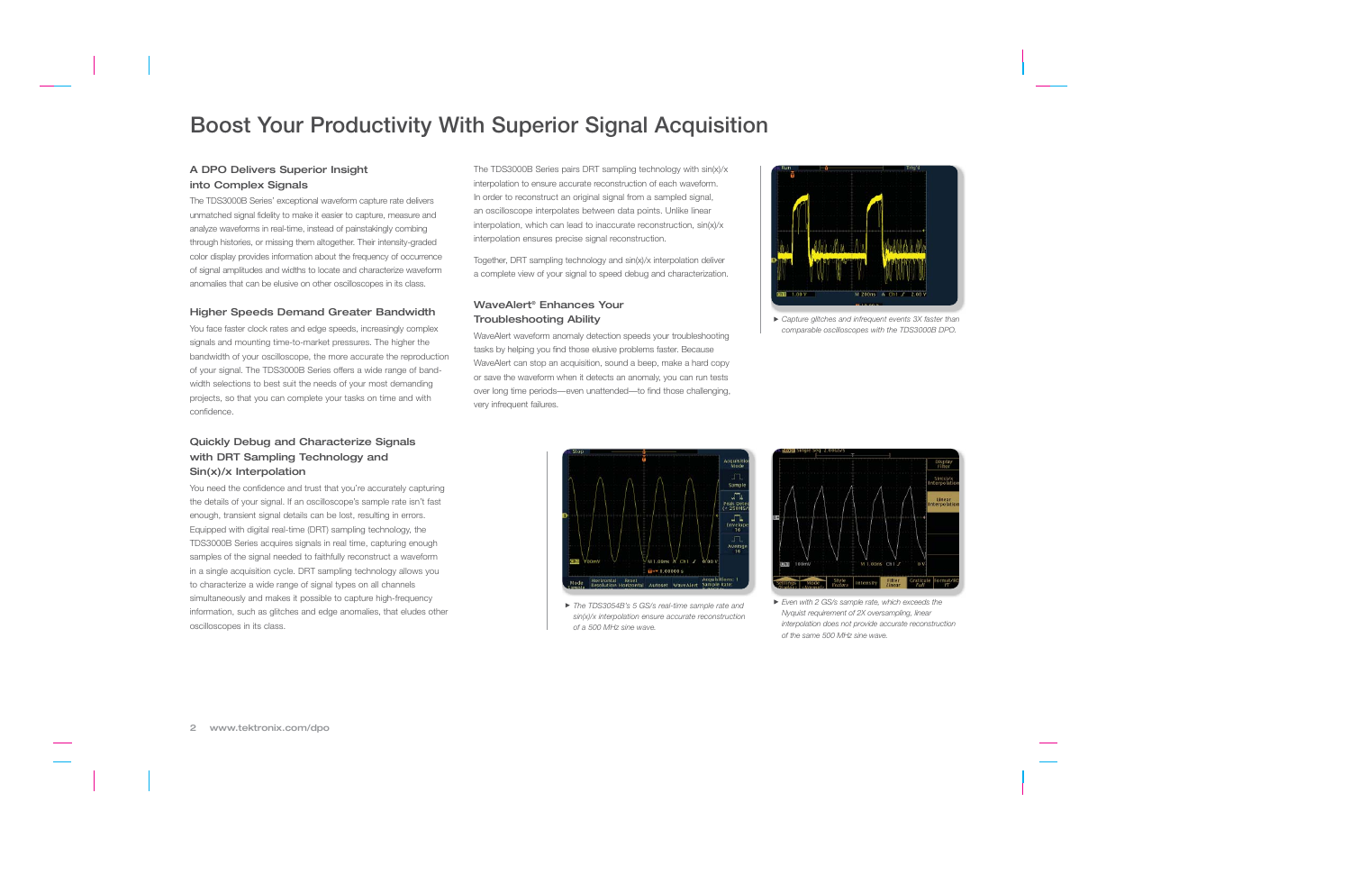## **Boost Your Productivity With Superior Signal Acquisition**

## A DPO Delivers Superior Insight into Complex Signals

The TDS3000B Series' exceptional waveform capture rate delivers unmatched signal fidelity to make it easier to capture, measure and analyze waveforms in real-time, instead of painstakingly combing through histories, or missing them altogether. Their intensity-graded color display provides information about the frequency of occurrence of signal amplitudes and widths to locate and characterize waveform anomalies that can be elusive on other oscilloscopes in its class.

### Higher Speeds Demand Greater Bandwidth

You face faster clock rates and edge speeds, increasingly complex signals and mounting time-to-market pressures. The higher the bandwidth of your oscilloscope, the more accurate the reproduction of your signal. The TDS3000B Series offers a wide range of bandwidth selections to best suit the needs of your most demanding projects, so that you can complete your tasks on time and with confidence.

## Quickly Debug and Characterize Signals with DRT Sampling Technology and Sin(x)/x Interpolation

You need the confidence and trust that you're accurately capturing the details of your signal. If an oscilloscope's sample rate isn't fast enough, transient signal details can be lost, resulting in errors. Equipped with digital real-time (DRT) sampling technology, the TDS3000B Series acquires signals in real time, capturing enough samples of the signal needed to faithfully reconstruct a waveform in a single acquisition cycle. DRT sampling technology allows you to characterize a wide range of signal types on all channels simultaneously and makes it possible to capture high-frequency information, such as glitches and edge anomalies, that eludes other oscilloscopes in its class.

The TDS3000B Series pairs DRT sampling technology with sin(x)/x interpolation to ensure accurate reconstruction of each waveform. In order to reconstruct an original signal from a sampled signal, an oscilloscope interpolates between data points. Unlike linear interpolation, which can lead to inaccurate reconstruction, sin(x)/x interpolation ensures precise signal reconstruction.

Together, DRT sampling technology and sin(x)/x interpolation deliver a complete view of your signal to speed debug and characterization.

### WaveAlert® Enhances Your Troubleshooting Ability

WaveAlert waveform anomaly detection speeds your troubleshooting tasks by helping you find those elusive problems faster. Because WaveAlert can stop an acquisition, sound a beep, make a hard copy or save the waveform when it detects an anomaly, you can run tests over long time periods—even unattended—to find those challenging, very infrequent failures.



*Capture glitches and infrequent events 3X faster than comparable oscilloscopes with the TDS3000B DPO.*



*The TDS3054B's 5 GS/s real-time sample rate and sin(x)/x interpolation ensure accurate reconstruction of a 500 MHz sine wave.*



*Even with 2 GS/s sample rate, which exceeds the Nyquist requirement of 2X oversampling, linear interpolation does not provide accurate reconstruction of the same 500 MHz sine wave.*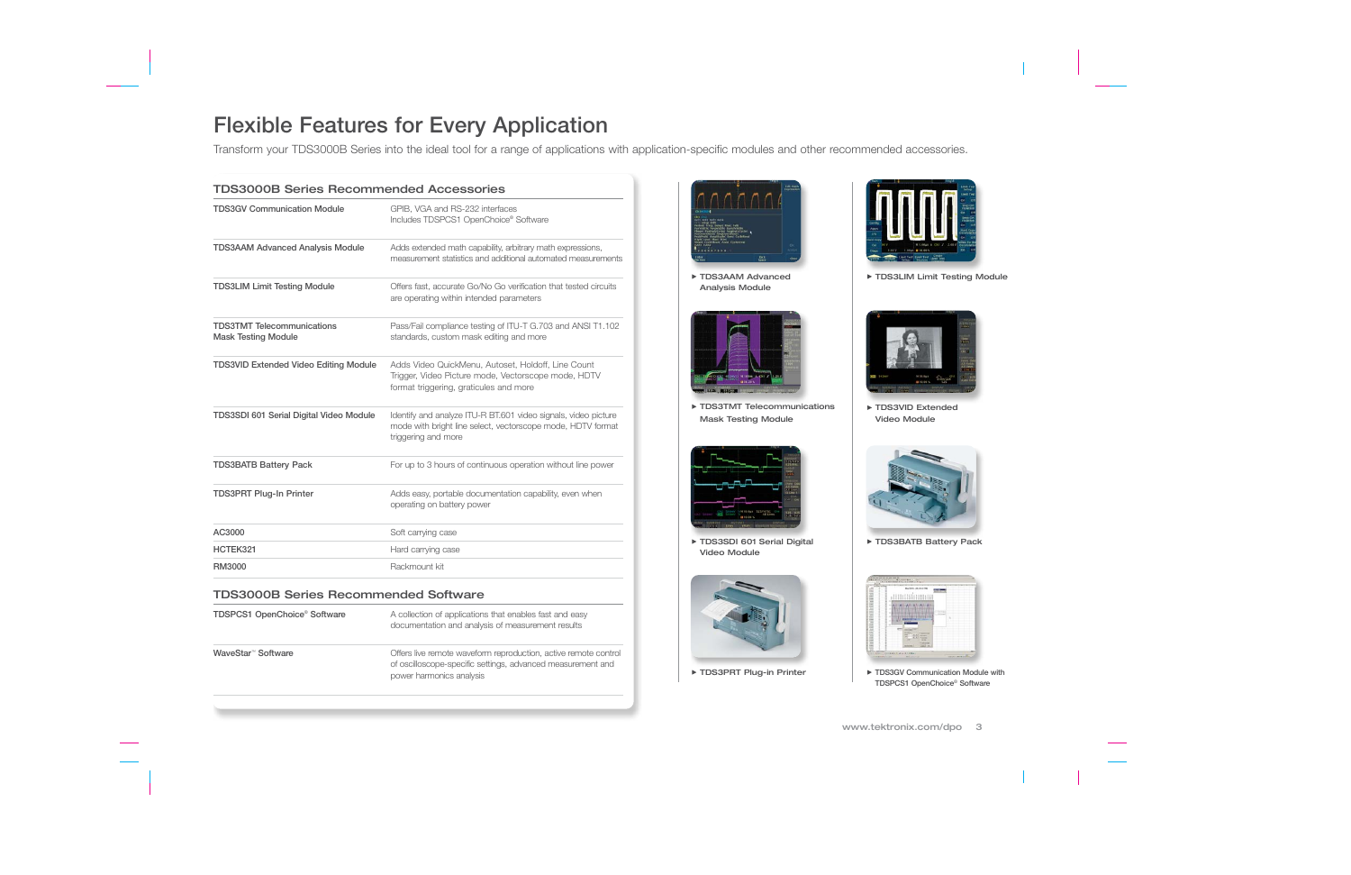## **Flexible Features for Every Application**

Transform your TDS3000B Series into the ideal tool for a range of applications with application-specific modules and other recommended accessories.

| <b>TDS3000B Series Recommended Accessories</b>                  |                                                                                                                                                      |  |  |  |
|-----------------------------------------------------------------|------------------------------------------------------------------------------------------------------------------------------------------------------|--|--|--|
| <b>TDS3GV Communication Module</b>                              | GPIB, VGA and RS-232 interfaces<br>Includes TDSPCS1 OpenChoice® Software                                                                             |  |  |  |
| <b>TDS3AAM Advanced Analysis Module</b>                         | Adds extended math capability, arbitrary math expressions,<br>measurement statistics and additional automated measurements                           |  |  |  |
| <b>TDS3LIM Limit Testing Module</b>                             | Offers fast, accurate Go/No Go verification that tested circuits<br>are operating within intended parameters                                         |  |  |  |
| <b>TDS3TMT</b> Telecommunications<br><b>Mask Testing Module</b> | Pass/Fail compliance testing of ITU-T G.703 and ANSI T1.102<br>standards, custom mask editing and more                                               |  |  |  |
| <b>TDS3VID Extended Video Editing Module</b>                    | Adds Video QuickMenu, Autoset, Holdoff, Line Count<br>Trigger, Video Picture mode, Vectorscope mode, HDTV<br>format triggering, graticules and more  |  |  |  |
| <b>TDS3SDI 601 Serial Digital Video Module</b>                  | Identify and analyze ITU-R BT.601 video signals, video picture<br>mode with bright line select, vectorscope mode, HDTV format<br>triggering and more |  |  |  |
| <b>TDS3BATB Battery Pack</b>                                    | For up to 3 hours of continuous operation without line power                                                                                         |  |  |  |
| <b>TDS3PRT Plug-In Printer</b>                                  | Adds easy, portable documentation capability, even when<br>operating on battery power                                                                |  |  |  |
| AC3000                                                          | Soft carrying case                                                                                                                                   |  |  |  |
| HCTEK321                                                        | Hard carrying case                                                                                                                                   |  |  |  |
| RM3000                                                          | Rackmount kit                                                                                                                                        |  |  |  |

### TDS3000B Series Recommended Software

| TDSPCS1 OpenChoice® Software   | A collection of applications that enables fast and easy<br>documentation and analysis of measurement results                                               |  |
|--------------------------------|------------------------------------------------------------------------------------------------------------------------------------------------------------|--|
| WaveStar <sup>™</sup> Software | Offers live remote waveform reproduction, active remote control<br>of oscilloscope-specific settings, advanced measurement and<br>power harmonics analysis |  |



TDS3AAM Advanced Analysis Module



**FIDS3TMT Telecommunications** Mask Testing Module



TDS3SDI 601 Serial Digital Video Module





TDS3LIM Limit Testing Module



▶ TDS3VID Extended Video Module



TDS3BATB Battery Pack



▶ TDS3PRT Plug-in Printer **THE AUST AUST AUST PRINT** TDS3GV Communication Module with **TDSPCS1 OpenChoice**® **Software**